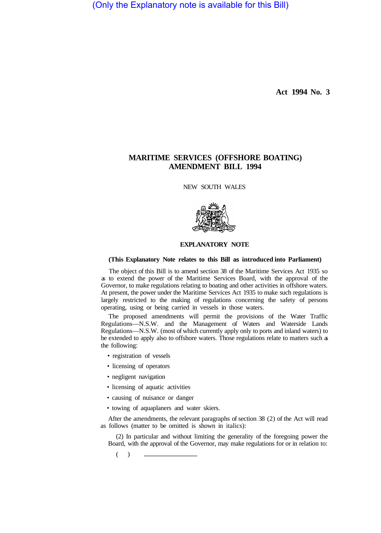(Only the Explanatory note is available for this Bill)

**Act 1994 No. 3** 

## **MARITIME SERVICES (OFFSHORE BOATING) AMENDMENT BILL 1994**

NEW SOUTH WALES



## **EXPLANATORY NOTE**

## **(This Explanatory Note relates to this Bill as introduced into Parliament)**

The object of this Bill is to amend section 38 of the Maritime Services Act 1935 so as to extend the power of the Maritime Services Board, with the approval of the Governor, to make regulations relating to boating and other activities in offshore waters. At present, the power under the Maritime Services Act 1935 to make such regulations is largely restricted to the making of regulations concerning the safety of persons operating, using or being carried in vessels in those waters.

The proposed amendments will permit the provisions of the Water Traffic Regulations—N.S.W. and the Management of Waters and Waterside Lands Regulations—N.S.W. (most of which currently apply only to ports and inland waters) to be extended to apply also to offshore waters. Those regulations relate to matters such as the following:

- registration of vessels
- licensing of operators
- negligent navigation
- licensing of aquatic activities
- causing of nuisance or danger
- towing of aquaplaners and water skiers.

After the amendments, the relevant paragraphs of section 38 (2) of the Act will read as follows (matter to be omitted is shown in italics):

(2) In particular and without limiting the generality of the foregoing power the Board, with the approval of the Governor, may make regulations for or in relation to:

( ) .................................................